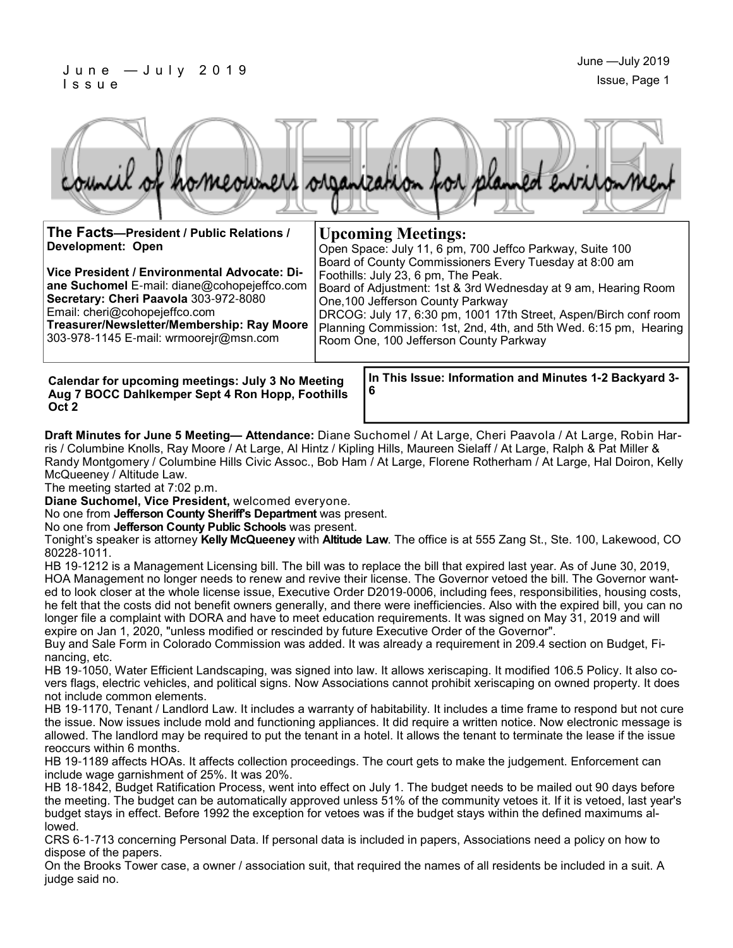#### J u n e — J u l y 2 0 1 9 I s s u e



**The Facts—President / Public Relations / Development: Open**

**Vice President / Environmental Advocate: Diane Suchomel** E-mail: diane@cohopejeffco.com **Secretary: Cheri Paavola** 303-972-8080 Email: cheri@cohopejeffco.com

**Treasurer/Newsletter/Membership: Ray Moore**  303-978-1145 E-mail: wrmoorejr@msn.com

**Upcoming Meetings:** Open Space: July 11, 6 pm, 700 Jeffco Parkway, Suite 100

Board of County Commissioners Every Tuesday at 8:00 am Foothills: July 23, 6 pm, The Peak. Board of Adjustment: 1st & 3rd Wednesday at 9 am, Hearing Room One,100 Jefferson County Parkway DRCOG: July 17, 6:30 pm, 1001 17th Street, Aspen/Birch conf room Planning Commission: 1st, 2nd, 4th, and 5th Wed. 6:15 pm, Hearing

Room One, 100 Jefferson County Parkway

**Calendar for upcoming meetings: July 3 No Meeting Aug 7 BOCC Dahlkemper Sept 4 Ron Hopp, Foothills Oct 2**

**In This Issue: Information and Minutes 1-2 Backyard 3- 6** 

**Draft Minutes for June 5 Meeting— Attendance:** Diane Suchomel / At Large, Cheri Paavola / At Large, Robin Harris / Columbine Knolls, Ray Moore / At Large, Al Hintz / Kipling Hills, Maureen Sielaff / At Large, Ralph & Pat Miller & Randy Montgomery / Columbine Hills Civic Assoc., Bob Ham / At Large, Florene Rotherham / At Large, Hal Doiron, Kelly McQueeney / Altitude Law.

The meeting started at 7:02 p.m.

**Diane Suchomel, Vice President,** welcomed everyone.

No one from **Jefferson County Sheriff's Department** was present.

No one from **Jefferson County Public Schools** was present.

Tonight's speaker is attorney **Kelly McQueeney** with **Altitude Law**. The office is at 555 Zang St., Ste. 100, Lakewood, CO 80228-1011.

HB 19-1212 is a Management Licensing bill. The bill was to replace the bill that expired last year. As of June 30, 2019, HOA Management no longer needs to renew and revive their license. The Governor vetoed the bill. The Governor wanted to look closer at the whole license issue, Executive Order D2019-0006, including fees, responsibilities, housing costs, he felt that the costs did not benefit owners generally, and there were inefficiencies. Also with the expired bill, you can no longer file a complaint with DORA and have to meet education requirements. It was signed on May 31, 2019 and will expire on Jan 1, 2020, "unless modified or rescinded by future Executive Order of the Governor".

Buy and Sale Form in Colorado Commission was added. It was already a requirement in 209.4 section on Budget, Financing, etc.

HB 19-1050, Water Efficient Landscaping, was signed into law. It allows xeriscaping. It modified 106.5 Policy. It also covers flags, electric vehicles, and political signs. Now Associations cannot prohibit xeriscaping on owned property. It does not include common elements.

HB 19-1170, Tenant / Landlord Law. It includes a warranty of habitability. It includes a time frame to respond but not cure the issue. Now issues include mold and functioning appliances. It did require a written notice. Now electronic message is allowed. The landlord may be required to put the tenant in a hotel. It allows the tenant to terminate the lease if the issue reoccurs within 6 months.

HB 19-1189 affects HOAs. It affects collection proceedings. The court gets to make the judgement. Enforcement can include wage garnishment of 25%. It was 20%.

HB 18-1842, Budget Ratification Process, went into effect on July 1. The budget needs to be mailed out 90 days before the meeting. The budget can be automatically approved unless 51% of the community vetoes it. If it is vetoed, last year's budget stays in effect. Before 1992 the exception for vetoes was if the budget stays within the defined maximums allowed.

CRS 6-1-713 concerning Personal Data. If personal data is included in papers, Associations need a policy on how to dispose of the papers.

On the Brooks Tower case, a owner / association suit, that required the names of all residents be included in a suit. A judge said no.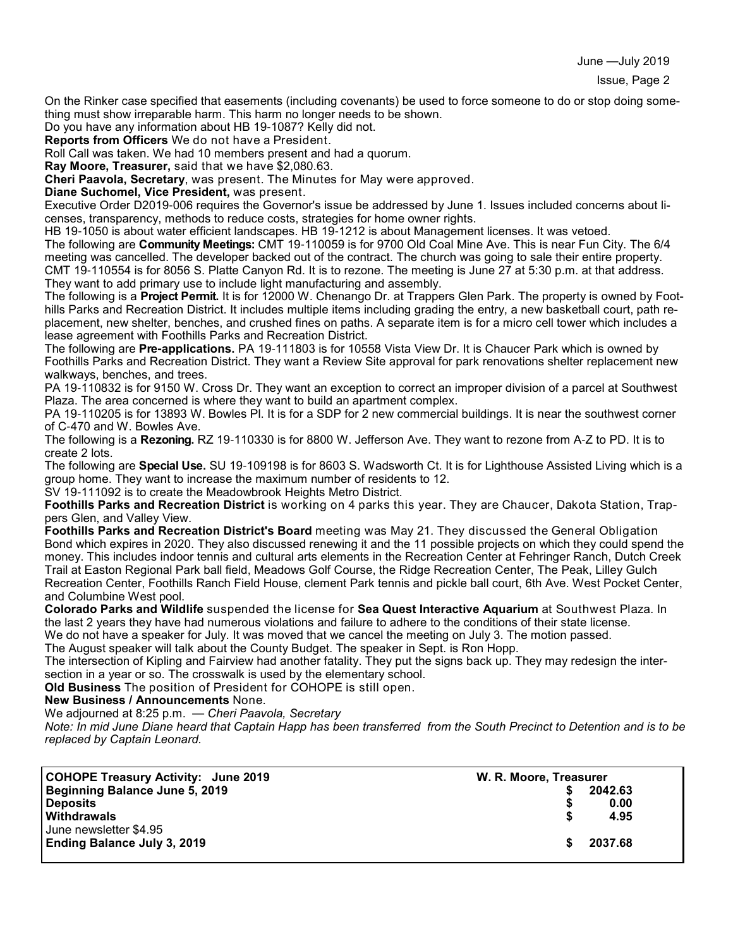June —July 2019

On the Rinker case specified that easements (including covenants) be used to force someone to do or stop doing something must show irreparable harm. This harm no longer needs to be shown.

Do you have any information about HB 19-1087? Kelly did not.

**Reports from Officers** We do not have a President.

Roll Call was taken. We had 10 members present and had a quorum.

**Ray Moore, Treasurer,** said that we have \$2,080.63.

**Cheri Paavola, Secretary**, was present. The Minutes for May were approved.

**Diane Suchomel, Vice President,** was present.

Executive Order D2019-006 requires the Governor's issue be addressed by June 1. Issues included concerns about licenses, transparency, methods to reduce costs, strategies for home owner rights.

HB 19-1050 is about water efficient landscapes. HB 19-1212 is about Management licenses. It was vetoed.

The following are **Community Meetings:** CMT 19-110059 is for 9700 Old Coal Mine Ave. This is near Fun City. The 6/4 meeting was cancelled. The developer backed out of the contract. The church was going to sale their entire property. CMT 19-110554 is for 8056 S. Platte Canyon Rd. It is to rezone. The meeting is June 27 at 5:30 p.m. at that address. They want to add primary use to include light manufacturing and assembly.

The following is a **Project Permit.** It is for 12000 W. Chenango Dr. at Trappers Glen Park. The property is owned by Foothills Parks and Recreation District. It includes multiple items including grading the entry, a new basketball court, path replacement, new shelter, benches, and crushed fines on paths. A separate item is for a micro cell tower which includes a lease agreement with Foothills Parks and Recreation District.

The following are **Pre-applications.** PA 19-111803 is for 10558 Vista View Dr. It is Chaucer Park which is owned by Foothills Parks and Recreation District. They want a Review Site approval for park renovations shelter replacement new walkways, benches, and trees.

PA 19-110832 is for 9150 W. Cross Dr. They want an exception to correct an improper division of a parcel at Southwest Plaza. The area concerned is where they want to build an apartment complex.

PA 19-110205 is for 13893 W. Bowles Pl. It is for a SDP for 2 new commercial buildings. It is near the southwest corner of C-470 and W. Bowles Ave.

The following is a **Rezoning.** RZ 19-110330 is for 8800 W. Jefferson Ave. They want to rezone from A-Z to PD. It is to create 2 lots.

The following are **Special Use.** SU 19-109198 is for 8603 S. Wadsworth Ct. It is for Lighthouse Assisted Living which is a group home. They want to increase the maximum number of residents to 12.

SV 19-111092 is to create the Meadowbrook Heights Metro District.

**Foothills Parks and Recreation District** is working on 4 parks this year. They are Chaucer, Dakota Station, Trappers Glen, and Valley View.

**Foothills Parks and Recreation District's Board** meeting was May 21. They discussed the General Obligation Bond which expires in 2020. They also discussed renewing it and the 11 possible projects on which they could spend the money. This includes indoor tennis and cultural arts elements in the Recreation Center at Fehringer Ranch, Dutch Creek Trail at Easton Regional Park ball field, Meadows Golf Course, the Ridge Recreation Center, The Peak, Lilley Gulch Recreation Center, Foothills Ranch Field House, clement Park tennis and pickle ball court, 6th Ave. West Pocket Center, and Columbine West pool.

**Colorado Parks and Wildlife** suspended the license for **Sea Quest Interactive Aquarium** at Southwest Plaza. In the last 2 years they have had numerous violations and failure to adhere to the conditions of their state license.

We do not have a speaker for July. It was moved that we cancel the meeting on July 3. The motion passed.

The August speaker will talk about the County Budget. The speaker in Sept. is Ron Hopp.

The intersection of Kipling and Fairview had another fatality. They put the signs back up. They may redesign the intersection in a year or so. The crosswalk is used by the elementary school.

**Old Business** The position of President for COHOPE is still open.

**New Business / Announcements** None.

We adjourned at 8:25 p.m. — *Cheri Paavola, Secretary*

*Note: In mid June Diane heard that Captain Happ has been transferred from the South Precinct to Detention and is to be replaced by Captain Leonard.*

| COHOPE Treasury Activity: June 2019 | W. R. Moore, Treasurer |         |
|-------------------------------------|------------------------|---------|
| Beginning Balance June 5, 2019      |                        | 2042.63 |
| <b>Deposits</b>                     |                        | 0.00    |
| Withdrawals                         |                        | 4.95    |
| June newsletter \$4.95              |                        |         |
| <b>Ending Balance July 3, 2019</b>  |                        | 2037.68 |
|                                     |                        |         |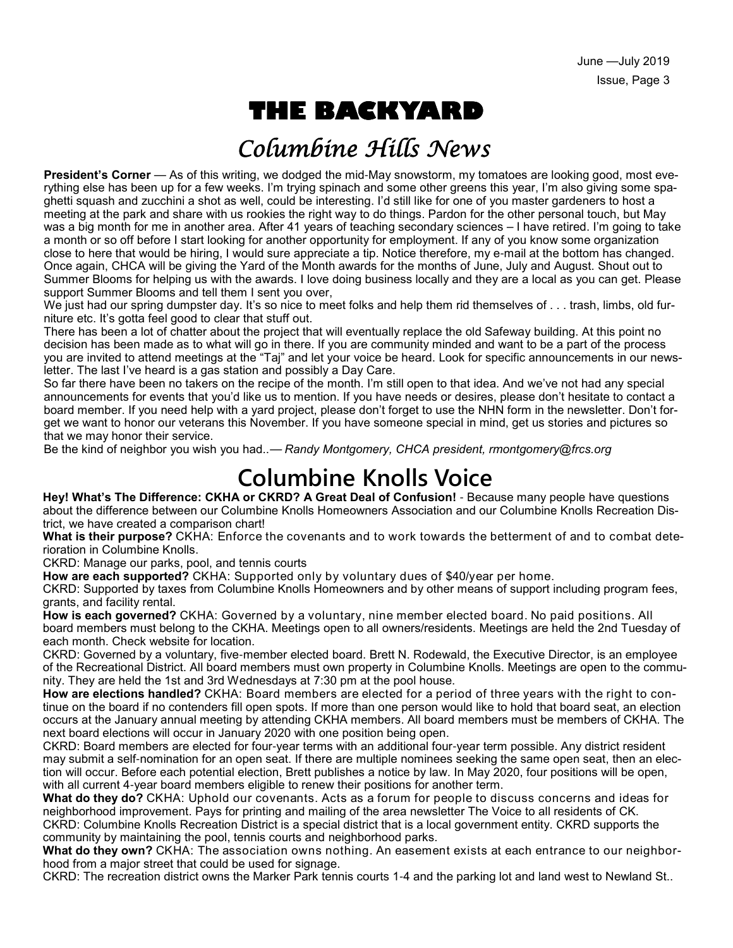# **THE BACKYARD**

## Columbine Hills News

**President's Corner** — As of this writing, we dodged the mid-May snowstorm, my tomatoes are looking good, most everything else has been up for a few weeks. I'm trying spinach and some other greens this year, I'm also giving some spaghetti squash and zucchini a shot as well, could be interesting. I'd still like for one of you master gardeners to host a meeting at the park and share with us rookies the right way to do things. Pardon for the other personal touch, but May was a big month for me in another area. After 41 years of teaching secondary sciences – I have retired. I'm going to take a month or so off before I start looking for another opportunity for employment. If any of you know some organization close to here that would be hiring, I would sure appreciate a tip. Notice therefore, my e-mail at the bottom has changed. Once again, CHCA will be giving the Yard of the Month awards for the months of June, July and August. Shout out to Summer Blooms for helping us with the awards. I love doing business locally and they are a local as you can get. Please support Summer Blooms and tell them I sent you over,

We just had our spring dumpster day. It's so nice to meet folks and help them rid themselves of . . . trash, limbs, old furniture etc. It's gotta feel good to clear that stuff out.

There has been a lot of chatter about the project that will eventually replace the old Safeway building. At this point no decision has been made as to what will go in there. If you are community minded and want to be a part of the process you are invited to attend meetings at the "Taj" and let your voice be heard. Look for specific announcements in our newsletter. The last I've heard is a gas station and possibly a Day Care.

So far there have been no takers on the recipe of the month. I'm still open to that idea. And we've not had any special announcements for events that you'd like us to mention. If you have needs or desires, please don't hesitate to contact a board member. If you need help with a yard project, please don't forget to use the NHN form in the newsletter. Don't forget we want to honor our veterans this November. If you have someone special in mind, get us stories and pictures so that we may honor their service.

Be the kind of neighbor you wish you had..— *Randy Montgomery, CHCA president, rmontgomery@frcs.org*

## **Columbine Knolls Voice**

**Hey! What's The Difference: CKHA or CKRD? A Great Deal of Confusion!** - Because many people have questions about the difference between our Columbine Knolls Homeowners Association and our Columbine Knolls Recreation District, we have created a comparison chart!

**What is their purpose?** CKHA: Enforce the covenants and to work towards the betterment of and to combat deterioration in Columbine Knolls.

CKRD: Manage our parks, pool, and tennis courts

**How are each supported?** CKHA: Supported only by voluntary dues of \$40/year per home.

CKRD: Supported by taxes from Columbine Knolls Homeowners and by other means of support including program fees, grants, and facility rental.

**How is each governed?** CKHA: Governed by a voluntary, nine member elected board. No paid positions. All board members must belong to the CKHA. Meetings open to all owners/residents. Meetings are held the 2nd Tuesday of each month. Check website for location.

CKRD: Governed by a voluntary, five-member elected board. Brett N. Rodewald, the Executive Director, is an employee of the Recreational District. All board members must own property in Columbine Knolls. Meetings are open to the community. They are held the 1st and 3rd Wednesdays at 7:30 pm at the pool house.

**How are elections handled?** CKHA: Board members are elected for a period of three years with the right to continue on the board if no contenders fill open spots. If more than one person would like to hold that board seat, an election occurs at the January annual meeting by attending CKHA members. All board members must be members of CKHA. The next board elections will occur in January 2020 with one position being open.

CKRD: Board members are elected for four-year terms with an additional four-year term possible. Any district resident may submit a self-nomination for an open seat. If there are multiple nominees seeking the same open seat, then an election will occur. Before each potential election, Brett publishes a notice by law. In May 2020, four positions will be open, with all current 4-year board members eligible to renew their positions for another term.

**What do they do?** CKHA: Uphold our covenants. Acts as a forum for people to discuss concerns and ideas for neighborhood improvement. Pays for printing and mailing of the area newsletter The Voice to all residents of CK. CKRD: Columbine Knolls Recreation District is a special district that is a local government entity. CKRD supports the community by maintaining the pool, tennis courts and neighborhood parks.

**What do they own?** CKHA: The association owns nothing. An easement exists at each entrance to our neighborhood from a major street that could be used for signage.

CKRD: The recreation district owns the Marker Park tennis courts 1-4 and the parking lot and land west to Newland St..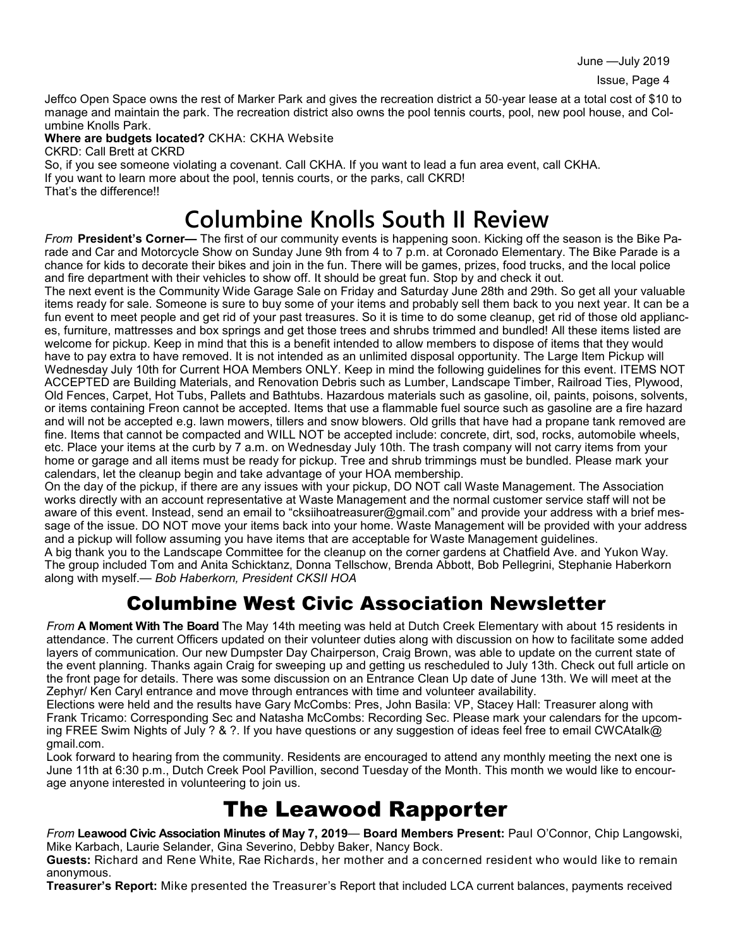Jeffco Open Space owns the rest of Marker Park and gives the recreation district a 50-year lease at a total cost of \$10 to manage and maintain the park. The recreation district also owns the pool tennis courts, pool, new pool house, and Columbine Knolls Park.

**Where are budgets located?** CKHA: CKHA Website

CKRD: Call Brett at CKRD

So, if you see someone violating a covenant. Call CKHA. If you want to lead a fun area event, call CKHA. If you want to learn more about the pool, tennis courts, or the parks, call CKRD! That's the difference!!

# **Columbine Knolls South II Review**

*From* **President's Corner—** The first of our community events is happening soon. Kicking off the season is the Bike Parade and Car and Motorcycle Show on Sunday June 9th from 4 to 7 p.m. at Coronado Elementary. The Bike Parade is a chance for kids to decorate their bikes and join in the fun. There will be games, prizes, food trucks, and the local police and fire department with their vehicles to show off. It should be great fun. Stop by and check it out.

The next event is the Community Wide Garage Sale on Friday and Saturday June 28th and 29th. So get all your valuable items ready for sale. Someone is sure to buy some of your items and probably sell them back to you next year. It can be a fun event to meet people and get rid of your past treasures. So it is time to do some cleanup, get rid of those old appliances, furniture, mattresses and box springs and get those trees and shrubs trimmed and bundled! All these items listed are welcome for pickup. Keep in mind that this is a benefit intended to allow members to dispose of items that they would have to pay extra to have removed. It is not intended as an unlimited disposal opportunity. The Large Item Pickup will Wednesday July 10th for Current HOA Members ONLY. Keep in mind the following guidelines for this event. ITEMS NOT ACCEPTED are Building Materials, and Renovation Debris such as Lumber, Landscape Timber, Railroad Ties, Plywood, Old Fences, Carpet, Hot Tubs, Pallets and Bathtubs. Hazardous materials such as gasoline, oil, paints, poisons, solvents, or items containing Freon cannot be accepted. Items that use a flammable fuel source such as gasoline are a fire hazard and will not be accepted e.g. lawn mowers, tillers and snow blowers. Old grills that have had a propane tank removed are fine. Items that cannot be compacted and WILL NOT be accepted include: concrete, dirt, sod, rocks, automobile wheels, etc. Place your items at the curb by 7 a.m. on Wednesday July 10th. The trash company will not carry items from your home or garage and all items must be ready for pickup. Tree and shrub trimmings must be bundled. Please mark your calendars, let the cleanup begin and take advantage of your HOA membership.

On the day of the pickup, if there are any issues with your pickup, DO NOT call Waste Management. The Association works directly with an account representative at Waste Management and the normal customer service staff will not be aware of this event. Instead, send an email to "cksiihoatreasurer@gmail.com" and provide your address with a brief message of the issue. DO NOT move your items back into your home. Waste Management will be provided with your address and a pickup will follow assuming you have items that are acceptable for Waste Management guidelines.

A big thank you to the Landscape Committee for the cleanup on the corner gardens at Chatfield Ave. and Yukon Way. The group included Tom and Anita Schicktanz, Donna Tellschow, Brenda Abbott, Bob Pellegrini, Stephanie Haberkorn along with myself.— *Bob Haberkorn, President CKSII HOA*

### Columbine West Civic Association Newsletter

*From* **A Moment With The Board** The May 14th meeting was held at Dutch Creek Elementary with about 15 residents in attendance. The current Officers updated on their volunteer duties along with discussion on how to facilitate some added layers of communication. Our new Dumpster Day Chairperson, Craig Brown, was able to update on the current state of the event planning. Thanks again Craig for sweeping up and getting us rescheduled to July 13th. Check out full article on the front page for details. There was some discussion on an Entrance Clean Up date of June 13th. We will meet at the Zephyr/ Ken Caryl entrance and move through entrances with time and volunteer availability.

Elections were held and the results have Gary McCombs: Pres, John Basila: VP, Stacey Hall: Treasurer along with Frank Tricamo: Corresponding Sec and Natasha McCombs: Recording Sec. Please mark your calendars for the upcoming FREE Swim Nights of July ? & ?. If you have questions or any suggestion of ideas feel free to email CWCAtalk@ gmail.com.

Look forward to hearing from the community. Residents are encouraged to attend any monthly meeting the next one is June 11th at 6:30 p.m., Dutch Creek Pool Pavillion, second Tuesday of the Month. This month we would like to encourage anyone interested in volunteering to join us.

## The Leawood Rapporter

*From* **Leawood Civic Association Minutes of May 7, 2019**— **Board Members Present:** Paul O'Connor, Chip Langowski, Mike Karbach, Laurie Selander, Gina Severino, Debby Baker, Nancy Bock.

**Guests:** Richard and Rene White, Rae Richards, her mother and a concerned resident who would like to remain anonymous.

**Treasurer's Report:** Mike presented the Treasurer's Report that included LCA current balances, payments received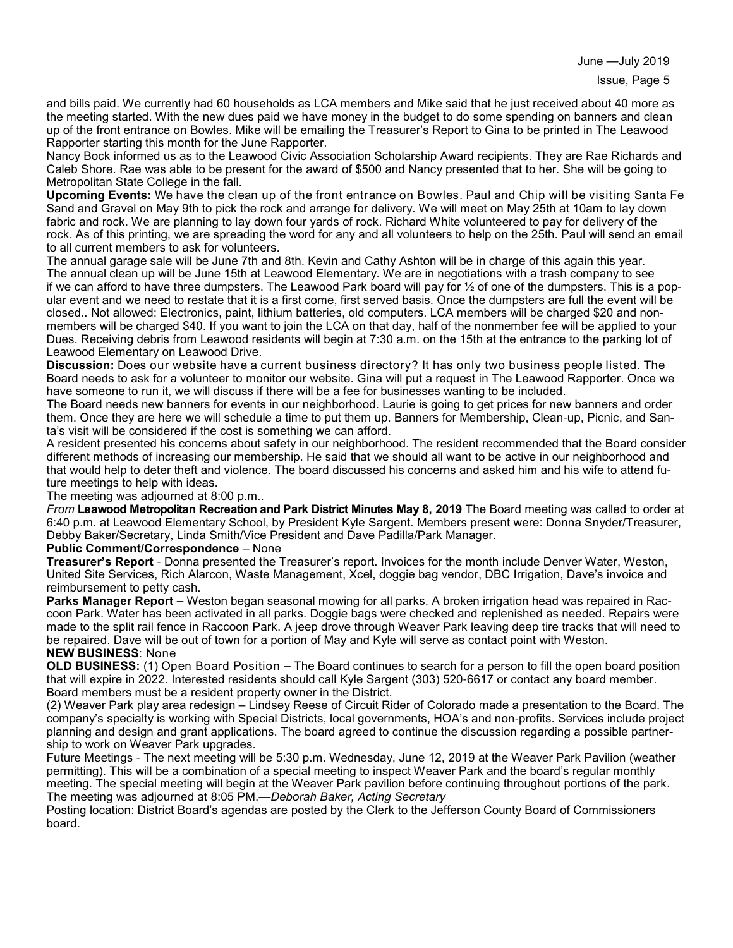June —July 2019

and bills paid. We currently had 60 households as LCA members and Mike said that he just received about 40 more as the meeting started. With the new dues paid we have money in the budget to do some spending on banners and clean up of the front entrance on Bowles. Mike will be emailing the Treasurer's Report to Gina to be printed in The Leawood Rapporter starting this month for the June Rapporter.

Nancy Bock informed us as to the Leawood Civic Association Scholarship Award recipients. They are Rae Richards and Caleb Shore. Rae was able to be present for the award of \$500 and Nancy presented that to her. She will be going to Metropolitan State College in the fall.

**Upcoming Events:** We have the clean up of the front entrance on Bowles. Paul and Chip will be visiting Santa Fe Sand and Gravel on May 9th to pick the rock and arrange for delivery. We will meet on May 25th at 10am to lay down fabric and rock. We are planning to lay down four yards of rock. Richard White volunteered to pay for delivery of the rock. As of this printing, we are spreading the word for any and all volunteers to help on the 25th. Paul will send an email to all current members to ask for volunteers.

The annual garage sale will be June 7th and 8th. Kevin and Cathy Ashton will be in charge of this again this year. The annual clean up will be June 15th at Leawood Elementary. We are in negotiations with a trash company to see if we can afford to have three dumpsters. The Leawood Park board will pay for  $\frac{1}{2}$  of one of the dumpsters. This is a popular event and we need to restate that it is a first come, first served basis. Once the dumpsters are full the event will be closed.. Not allowed: Electronics, paint, lithium batteries, old computers. LCA members will be charged \$20 and nonmembers will be charged \$40. If you want to join the LCA on that day, half of the nonmember fee will be applied to your Dues. Receiving debris from Leawood residents will begin at 7:30 a.m. on the 15th at the entrance to the parking lot of Leawood Elementary on Leawood Drive.

**Discussion:** Does our website have a current business directory? It has only two business people listed. The Board needs to ask for a volunteer to monitor our website. Gina will put a request in The Leawood Rapporter. Once we have someone to run it, we will discuss if there will be a fee for businesses wanting to be included.

The Board needs new banners for events in our neighborhood. Laurie is going to get prices for new banners and order them. Once they are here we will schedule a time to put them up. Banners for Membership, Clean-up, Picnic, and Santa's visit will be considered if the cost is something we can afford.

A resident presented his concerns about safety in our neighborhood. The resident recommended that the Board consider different methods of increasing our membership. He said that we should all want to be active in our neighborhood and that would help to deter theft and violence. The board discussed his concerns and asked him and his wife to attend future meetings to help with ideas.

The meeting was adjourned at 8:00 p.m..

*From* **Leawood Metropolitan Recreation and Park District Minutes May 8, 2019** The Board meeting was called to order at 6:40 p.m. at Leawood Elementary School, by President Kyle Sargent. Members present were: Donna Snyder/Treasurer, Debby Baker/Secretary, Linda Smith/Vice President and Dave Padilla/Park Manager.

#### **Public Comment/Correspondence** – None

**Treasurer's Report** - Donna presented the Treasurer's report. Invoices for the month include Denver Water, Weston, United Site Services, Rich Alarcon, Waste Management, Xcel, doggie bag vendor, DBC Irrigation, Dave's invoice and reimbursement to petty cash.

**Parks Manager Report** – Weston began seasonal mowing for all parks. A broken irrigation head was repaired in Raccoon Park. Water has been activated in all parks. Doggie bags were checked and replenished as needed. Repairs were made to the split rail fence in Raccoon Park. A jeep drove through Weaver Park leaving deep tire tracks that will need to be repaired. Dave will be out of town for a portion of May and Kyle will serve as contact point with Weston. **NEW BUSINESS**: None

**OLD BUSINESS:** (1) Open Board Position – The Board continues to search for a person to fill the open board position that will expire in 2022. Interested residents should call Kyle Sargent (303) 520-6617 or contact any board member. Board members must be a resident property owner in the District.

(2) Weaver Park play area redesign – Lindsey Reese of Circuit Rider of Colorado made a presentation to the Board. The company's specialty is working with Special Districts, local governments, HOA's and non-profits. Services include project planning and design and grant applications. The board agreed to continue the discussion regarding a possible partnership to work on Weaver Park upgrades.

Future Meetings - The next meeting will be 5:30 p.m. Wednesday, June 12, 2019 at the Weaver Park Pavilion (weather permitting). This will be a combination of a special meeting to inspect Weaver Park and the board's regular monthly meeting. The special meeting will begin at the Weaver Park pavilion before continuing throughout portions of the park. The meeting was adjourned at 8:05 PM.—*Deborah Baker, Acting Secretary*

Posting location: District Board's agendas are posted by the Clerk to the Jefferson County Board of Commissioners board.